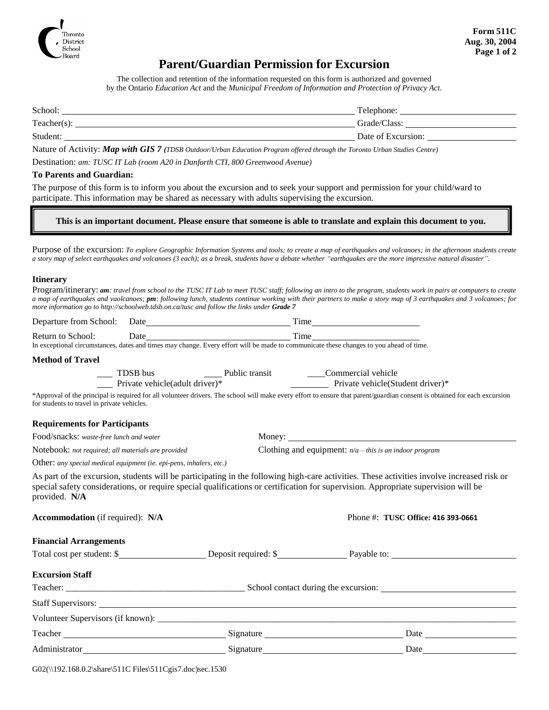

## **Parent/Guardian Permission for Excursion**

The collection and retention of the information requested on this form is authorized and governed by the Ontario *Education Act* and the *Municipal Freedom of Information and Protection of Privacy Act.*

| School:     | Telephone:         |
|-------------|--------------------|
| Teacher(s): | Grade/Class:       |
| Student:    | Date of Excursion: |

Nature of Activity: *Map with GIS 7 (TDSB Outdoor/Urban Education Program offered through the Toronto Urban Studies Centre)*

Destination: *am: TUSC IT Lab (room A20 in Danforth CTI, 800 Greenwood Avenue)*

#### **To Parents and Guardian:**

The purpose of this form is to inform you about the excursion and to seek your support and permission for your child/ward to participate. This information may be shared as necessary with adults supervising the excursion.

#### **This is an important document. Please ensure that someone is able to translate and explain this document to you.**

Purpose of the excursion: *To explore Geographic Information Systems and tools; to create a map of earthquakes and volcanoes; in the afternoon students create a story map of select earthquakes and volcanoes (3 each); as a break, students have a debate whether "earthquakes are the more impressive natural disaster".*

#### **Itinerary**

| Program/itinerary: am: travel from school to the TUSC IT Lab to meet TUSC staff; following an intro to the program, students work in pairs at computers to create |
|-------------------------------------------------------------------------------------------------------------------------------------------------------------------|
| a map of earthquakes and vaolcanoes; pm: following lunch, students continue working with their partners to make a story map of 3 earthquakes and 3 volcanoes; for |
| more information go to http://schoolweb.tdsb.on.ca/tusc and follow the links under <b>Grade 7</b>                                                                 |

|                                                                     | Return to School: Date<br>In exceptional circumstances, dates and times may change. Every effort will be made to communicate these changes to you ahead of time. |                                                                                                                                                                                                                                                                                  |  |  |
|---------------------------------------------------------------------|------------------------------------------------------------------------------------------------------------------------------------------------------------------|----------------------------------------------------------------------------------------------------------------------------------------------------------------------------------------------------------------------------------------------------------------------------------|--|--|
|                                                                     |                                                                                                                                                                  |                                                                                                                                                                                                                                                                                  |  |  |
| <b>Method of Travel</b>                                             |                                                                                                                                                                  |                                                                                                                                                                                                                                                                                  |  |  |
|                                                                     |                                                                                                                                                                  | Private vehicle(adult driver)* Private vehicle(Student driver)*                                                                                                                                                                                                                  |  |  |
| for students to travel in private vehicles.                         |                                                                                                                                                                  | *Approval of the principal is required for all volunteer drivers. The school will make every effort to ensure that parent/guardian consent is obtained for each excursion                                                                                                        |  |  |
| <b>Requirements for Participants</b>                                |                                                                                                                                                                  |                                                                                                                                                                                                                                                                                  |  |  |
| Food/snacks: waste-free lunch and water                             |                                                                                                                                                                  |                                                                                                                                                                                                                                                                                  |  |  |
| Notebook: not required; all materials are provided                  |                                                                                                                                                                  | Clothing and equipment: $n/a$ – this is an indoor program                                                                                                                                                                                                                        |  |  |
| Other: any special medical equipment (ie. epi-pens, inhalers, etc.) |                                                                                                                                                                  |                                                                                                                                                                                                                                                                                  |  |  |
| provided. N/A                                                       |                                                                                                                                                                  | As part of the excursion, students will be participating in the following high-care activities. These activities involve increased risk or<br>special safety considerations, or require special qualifications or certification for supervision. Appropriate supervision will be |  |  |
| <b>Accommodation</b> (if required): N/A                             |                                                                                                                                                                  | Phone #: TUSC Office: 416 393-0661                                                                                                                                                                                                                                               |  |  |
| <b>Financial Arrangements</b>                                       |                                                                                                                                                                  |                                                                                                                                                                                                                                                                                  |  |  |
|                                                                     |                                                                                                                                                                  |                                                                                                                                                                                                                                                                                  |  |  |
| <b>Excursion Staff</b>                                              |                                                                                                                                                                  |                                                                                                                                                                                                                                                                                  |  |  |
|                                                                     |                                                                                                                                                                  |                                                                                                                                                                                                                                                                                  |  |  |
|                                                                     |                                                                                                                                                                  |                                                                                                                                                                                                                                                                                  |  |  |
|                                                                     |                                                                                                                                                                  |                                                                                                                                                                                                                                                                                  |  |  |
|                                                                     |                                                                                                                                                                  |                                                                                                                                                                                                                                                                                  |  |  |
|                                                                     |                                                                                                                                                                  |                                                                                                                                                                                                                                                                                  |  |  |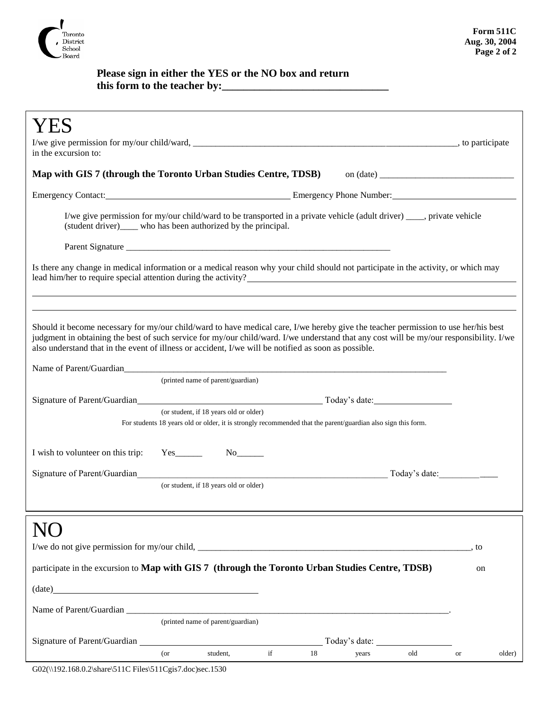

### **Please sign in either the YES or the NO box and return this form to the teacher by:\_\_\_\_\_\_\_\_\_\_\_\_\_\_\_\_\_\_\_\_\_\_\_\_\_\_\_\_\_\_\_**

| in the excursion to:                                                                                                                                                                                                                                                                                                                                                                  |  |  |  |  |
|---------------------------------------------------------------------------------------------------------------------------------------------------------------------------------------------------------------------------------------------------------------------------------------------------------------------------------------------------------------------------------------|--|--|--|--|
| Map with GIS 7 (through the Toronto Urban Studies Centre, TDSB) on (date) __________________________                                                                                                                                                                                                                                                                                  |  |  |  |  |
| Emergency Contact: <u>Contact: Emergency Phone Number:</u> Emergency Phone Number:                                                                                                                                                                                                                                                                                                    |  |  |  |  |
| I/we give permission for my/our child/ward to be transported in a private vehicle (adult driver) ____, private vehicle<br>(student driver)_____ who has been authorized by the principal.                                                                                                                                                                                             |  |  |  |  |
|                                                                                                                                                                                                                                                                                                                                                                                       |  |  |  |  |
| Is there any change in medical information or a medical reason why your child should not participate in the activity, or which may<br>lead him/her to require special attention during the activity?                                                                                                                                                                                  |  |  |  |  |
|                                                                                                                                                                                                                                                                                                                                                                                       |  |  |  |  |
| Should it become necessary for my/our child/ward to have medical care, I/we hereby give the teacher permission to use her/his best<br>judgment in obtaining the best of such service for my/our child/ward. I/we understand that any cost will be my/our responsibility. I/we<br>also understand that in the event of illness or accident, I/we will be notified as soon as possible. |  |  |  |  |
| (printed name of parent/guardian)                                                                                                                                                                                                                                                                                                                                                     |  |  |  |  |
|                                                                                                                                                                                                                                                                                                                                                                                       |  |  |  |  |
| (or student, if 18 years old or older)<br>For students 18 years old or older, it is strongly recommended that the parent/guardian also sign this form.                                                                                                                                                                                                                                |  |  |  |  |
| I wish to volunteer on this trip:<br>$Yes$ <sub>_________</sub>                                                                                                                                                                                                                                                                                                                       |  |  |  |  |
| Signature of Parent/Guardian and the contract of Parent/Guardian<br>Today's date:                                                                                                                                                                                                                                                                                                     |  |  |  |  |
| (or student, if 18 years old or older)                                                                                                                                                                                                                                                                                                                                                |  |  |  |  |
|                                                                                                                                                                                                                                                                                                                                                                                       |  |  |  |  |
| . to                                                                                                                                                                                                                                                                                                                                                                                  |  |  |  |  |
| participate in the excursion to Map with GIS 7 (through the Toronto Urban Studies Centre, TDSB)<br>on                                                                                                                                                                                                                                                                                 |  |  |  |  |
| $(\text{date})$                                                                                                                                                                                                                                                                                                                                                                       |  |  |  |  |
|                                                                                                                                                                                                                                                                                                                                                                                       |  |  |  |  |
| (printed name of parent/guardian)                                                                                                                                                                                                                                                                                                                                                     |  |  |  |  |
| $\operatorname{if}$<br>$($ or<br>student,<br>18<br>old<br>older)<br>years<br><b>or</b>                                                                                                                                                                                                                                                                                                |  |  |  |  |